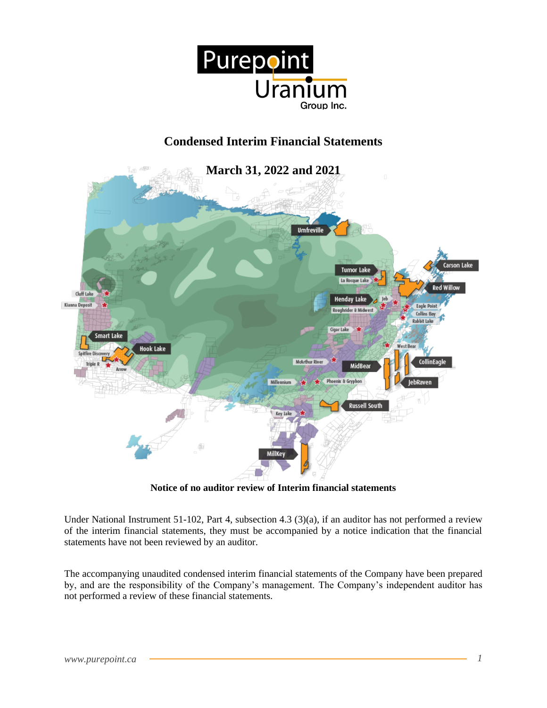

# **Condensed Interim Financial Statements**



**Notice of no auditor review of Interim financial statements**

Under National Instrument 51-102, Part 4, subsection 4.3 (3)(a), if an auditor has not performed a review of the interim financial statements, they must be accompanied by a notice indication that the financial statements have not been reviewed by an auditor.

The accompanying unaudited condensed interim financial statements of the Company have been prepared by, and are the responsibility of the Company's management. The Company's independent auditor has not performed a review of these financial statements.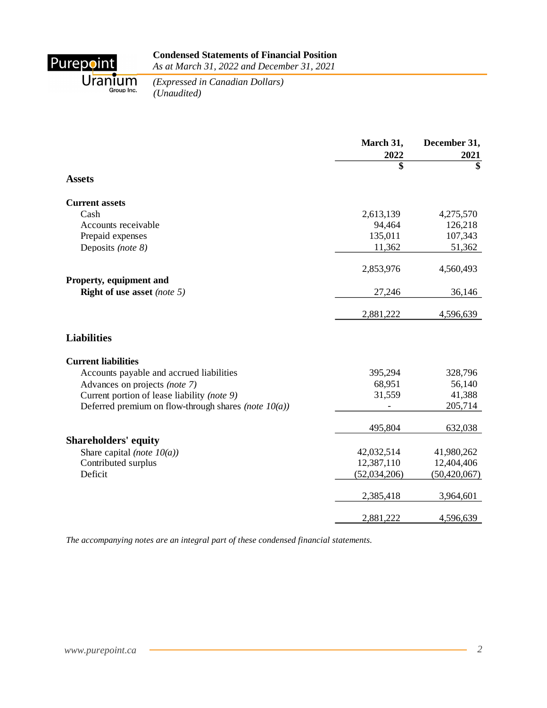

Uranium *(Expressed in Crapible Cypressed in <i>(Unaudited)* 

*(Expressed in Canadian Dollars)*

|                                                               | March 31,<br>2022 | December 31,<br>2021 |
|---------------------------------------------------------------|-------------------|----------------------|
|                                                               | \$                | $\overline{\$}$      |
| <b>Assets</b>                                                 |                   |                      |
| <b>Current assets</b>                                         |                   |                      |
| Cash                                                          | 2,613,139         | 4,275,570            |
| Accounts receivable                                           | 94,464            | 126,218              |
| Prepaid expenses                                              | 135,011           | 107,343              |
| Deposits (note 8)                                             | 11,362            | 51,362               |
|                                                               | 2,853,976         | 4,560,493            |
| Property, equipment and<br><b>Right of use asset</b> (note 5) | 27,246            | 36,146               |
|                                                               |                   |                      |
|                                                               | 2,881,222         | 4,596,639            |
| <b>Liabilities</b>                                            |                   |                      |
| <b>Current liabilities</b>                                    |                   |                      |
| Accounts payable and accrued liabilities                      | 395,294           | 328,796              |
| Advances on projects (note 7)                                 | 68,951            | 56,140               |
| Current portion of lease liability (note 9)                   | 31,559            | 41,388               |
| Deferred premium on flow-through shares (note $10(a)$ )       |                   | 205,714              |
|                                                               | 495,804           | 632,038              |
| <b>Shareholders' equity</b>                                   |                   |                      |
| Share capital (note $10(a)$ )                                 | 42,032,514        | 41,980,262           |
| Contributed surplus                                           | 12,387,110        | 12,404,406           |
| Deficit                                                       | (52,034,206)      | (50, 420, 067)       |
|                                                               | 2,385,418         | 3,964,601            |
|                                                               | 2,881,222         | 4,596,639            |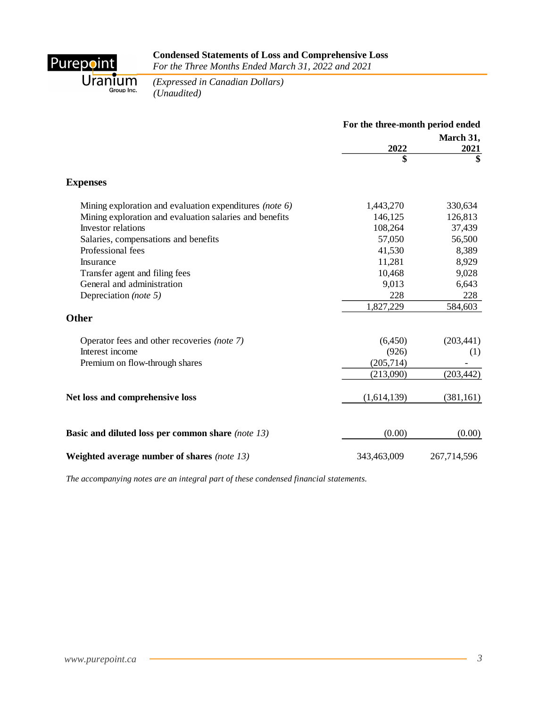

# **Condensed Statements of Loss and Comprehensive Loss**

*For the Three Months Ended March 31, 2022 and 2021*

Uranium *(Expressed in Crapible Cypressed in <i>(Unaudited)* 

*(Expressed in Canadian Dollars)*

|                                                         | For the three-month period ended |                         |  |
|---------------------------------------------------------|----------------------------------|-------------------------|--|
|                                                         |                                  | March 31,               |  |
|                                                         | 2022                             | 2021                    |  |
|                                                         | \$                               | $\overline{\mathbf{s}}$ |  |
| <b>Expenses</b>                                         |                                  |                         |  |
| Mining exploration and evaluation expenditures (note 6) | 1,443,270                        | 330,634                 |  |
| Mining exploration and evaluation salaries and benefits | 146,125                          | 126,813                 |  |
| Investor relations                                      | 108,264                          | 37,439                  |  |
| Salaries, compensations and benefits                    | 57,050                           | 56,500                  |  |
| Professional fees                                       | 41,530                           | 8,389                   |  |
| Insurance                                               | 11,281                           | 8,929                   |  |
| Transfer agent and filing fees                          | 10,468                           | 9,028                   |  |
| General and administration                              | 9,013                            | 6,643                   |  |
| Depreciation (note 5)                                   | 228                              | 228                     |  |
|                                                         | 1,827,229                        | 584,603                 |  |
| <b>Other</b>                                            |                                  |                         |  |
| Operator fees and other recoveries (note 7)             | (6,450)                          | (203, 441)              |  |
| Interest income                                         | (926)                            | (1)                     |  |
| Premium on flow-through shares                          | (205, 714)                       |                         |  |
|                                                         | (213,090)                        | (203, 442)              |  |
| Net loss and comprehensive loss                         | (1,614,139)                      | (381, 161)              |  |
|                                                         |                                  |                         |  |
| Basic and diluted loss per common share (note 13)       | (0.00)                           | (0.00)                  |  |
| Weighted average number of shares (note 13)             | 343,463,009                      | 267,714,596             |  |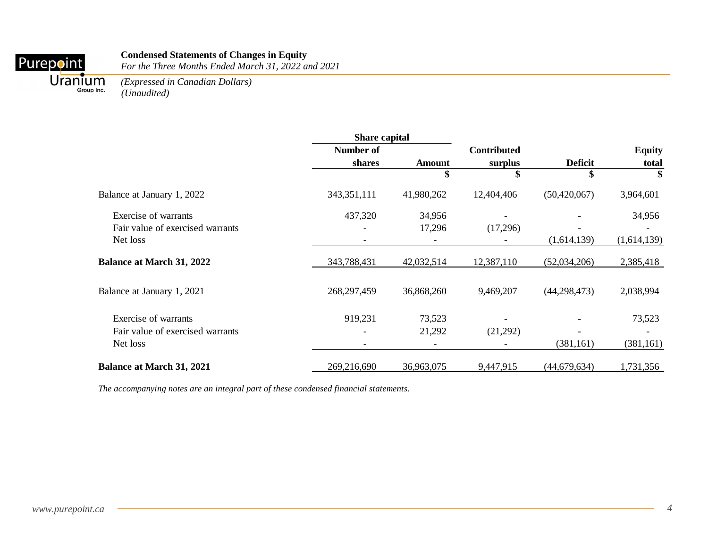#### **Condensed Statements of Changes in Equity**

*For the Three Months Ended March 31, 2022 and 2021*

Purepoint

*(Expressed in Canadian Dollars)* Uranium *(Expressed in Group line. (Unaudited)* 

|                                  | <b>Share capital</b>     |               |                    |                |               |
|----------------------------------|--------------------------|---------------|--------------------|----------------|---------------|
|                                  | Number of                |               | <b>Contributed</b> |                | <b>Equity</b> |
|                                  | shares                   | <b>Amount</b> | surplus            | <b>Deficit</b> | total         |
|                                  |                          | \$            | \$                 | \$             | \$            |
| Balance at January 1, 2022       | 343,351,111              | 41,980,262    | 12,404,406         | (50, 420, 067) | 3,964,601     |
| Exercise of warrants             | 437,320                  | 34,956        |                    |                | 34,956        |
| Fair value of exercised warrants |                          | 17,296        | (17,296)           |                |               |
| Net loss                         |                          |               |                    | (1,614,139)    | (1,614,139)   |
| <b>Balance at March 31, 2022</b> | 343,788,431              | 42,032,514    | 12,387,110         | (52,034,206)   | 2,385,418     |
| Balance at January 1, 2021       | 268,297,459              | 36,868,260    | 9,469,207          | (44, 298, 473) | 2,038,994     |
| Exercise of warrants             | 919,231                  | 73,523        |                    |                | 73,523        |
| Fair value of exercised warrants |                          | 21,292        | (21,292)           |                |               |
| Net loss                         | $\overline{\phantom{a}}$ |               |                    | (381, 161)     | (381, 161)    |
| <b>Balance at March 31, 2021</b> | 269,216,690              | 36,963,075    | 9,447,915          | (44,679,634)   | 1,731,356     |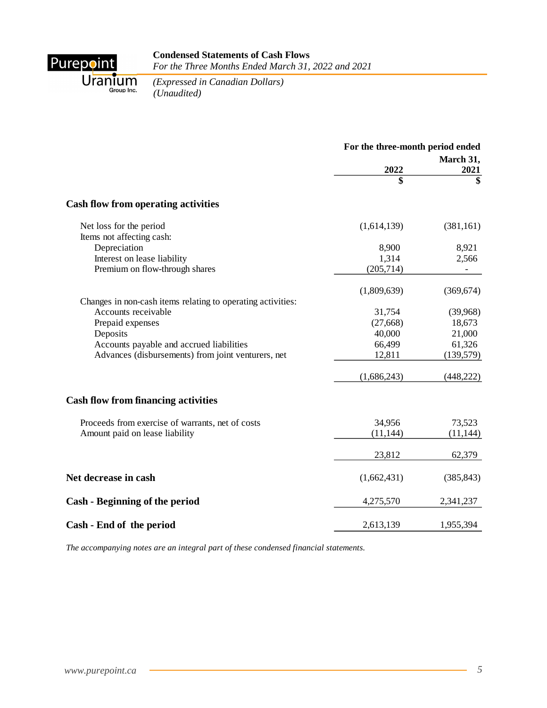

#### **Condensed Statements of Cash Flows** *For the Three Months Ended March 31, 2022 and 2021*

Uranium *(Expressed in Crapible Cypressed in <i>(Unaudited)* 

*(Expressed in Canadian Dollars)*

|                                                             | For the three-month period ended |            |  |
|-------------------------------------------------------------|----------------------------------|------------|--|
|                                                             | March 31,<br>2022                |            |  |
|                                                             |                                  | 2021<br>\$ |  |
| Cash flow from operating activities                         |                                  |            |  |
| Net loss for the period<br>Items not affecting cash:        | (1,614,139)                      | (381, 161) |  |
| Depreciation                                                | 8,900                            | 8,921      |  |
| Interest on lease liability                                 | 1,314                            | 2,566      |  |
| Premium on flow-through shares                              | (205,714)                        |            |  |
|                                                             | (1,809,639)                      | (369, 674) |  |
| Changes in non-cash items relating to operating activities: |                                  |            |  |
| Accounts receivable                                         | 31,754                           | (39,968)   |  |
| Prepaid expenses                                            | (27, 668)                        | 18,673     |  |
| Deposits                                                    | 40,000                           | 21,000     |  |
| Accounts payable and accrued liabilities                    | 66,499                           | 61,326     |  |
| Advances (disbursements) from joint venturers, net          | 12,811                           | (139, 579) |  |
|                                                             | (1,686,243)                      | (448, 222) |  |
| <b>Cash flow from financing activities</b>                  |                                  |            |  |
| Proceeds from exercise of warrants, net of costs            | 34,956                           | 73,523     |  |
| Amount paid on lease liability                              | (11, 144)                        | (11, 144)  |  |
|                                                             | 23,812                           | 62,379     |  |
| Net decrease in cash                                        | (1,662,431)                      | (385, 843) |  |
| Cash - Beginning of the period                              | 4,275,570                        | 2,341,237  |  |
| Cash - End of the period                                    | 2,613,139                        | 1,955,394  |  |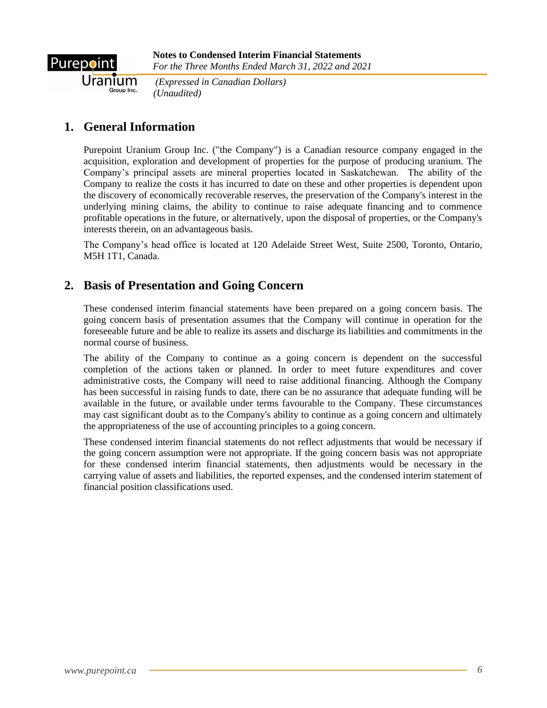

*(Expressed in Canadian Dollars) (Unaudited)*

# **1. General Information**

Purepoint Uranium Group Inc. ("the Company") is a Canadian resource company engaged in the acquisition, exploration and development of properties for the purpose of producing uranium. The Company's principal assets are mineral properties located in Saskatchewan. The ability of the Company to realize the costs it has incurred to date on these and other properties is dependent upon the discovery of economically recoverable reserves, the preservation of the Company's interest in the underlying mining claims, the ability to continue to raise adequate financing and to commence profitable operations in the future, or alternatively, upon the disposal of properties, or the Company's interests therein, on an advantageous basis.

The Company's head office is located at 120 Adelaide Street West, Suite 2500, Toronto, Ontario, M5H 1T1, Canada.

## **2. Basis of Presentation and Going Concern**

These condensed interim financial statements have been prepared on a going concern basis. The going concern basis of presentation assumes that the Company will continue in operation for the foreseeable future and be able to realize its assets and discharge its liabilities and commitments in the normal course of business.

The ability of the Company to continue as a going concern is dependent on the successful completion of the actions taken or planned. In order to meet future expenditures and cover administrative costs, the Company will need to raise additional financing. Although the Company has been successful in raising funds to date, there can be no assurance that adequate funding will be available in the future, or available under terms favourable to the Company. These circumstances may cast significant doubt as to the Company's ability to continue as a going concern and ultimately the appropriateness of the use of accounting principles to a going concern.

These condensed interim financial statements do not reflect adjustments that would be necessary if the going concern assumption were not appropriate. If the going concern basis was not appropriate for these condensed interim financial statements, then adjustments would be necessary in the carrying value of assets and liabilities, the reported expenses, and the condensed interim statement of financial position classifications used.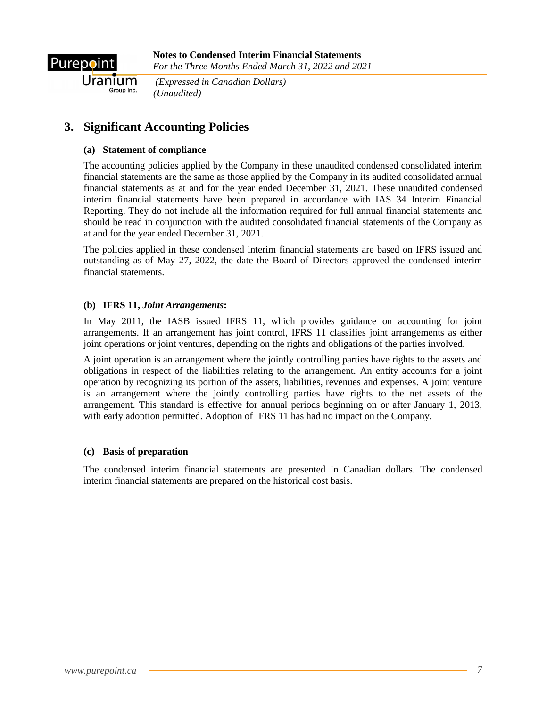

Uranium

*(Expressed in Canadian Dollars) (Unaudited)*

# **3. Significant Accounting Policies**

### **(a) Statement of compliance**

The accounting policies applied by the Company in these unaudited condensed consolidated interim financial statements are the same as those applied by the Company in its audited consolidated annual financial statements as at and for the year ended December 31, 2021. These unaudited condensed interim financial statements have been prepared in accordance with IAS 34 Interim Financial Reporting. They do not include all the information required for full annual financial statements and should be read in conjunction with the audited consolidated financial statements of the Company as at and for the year ended December 31, 2021.

The policies applied in these condensed interim financial statements are based on IFRS issued and outstanding as of May 27, 2022, the date the Board of Directors approved the condensed interim financial statements.

### **(b) IFRS 11,** *Joint Arrangements***:**

In May 2011, the IASB issued IFRS 11, which provides guidance on accounting for joint arrangements. If an arrangement has joint control, IFRS 11 classifies joint arrangements as either joint operations or joint ventures, depending on the rights and obligations of the parties involved.

A joint operation is an arrangement where the jointly controlling parties have rights to the assets and obligations in respect of the liabilities relating to the arrangement. An entity accounts for a joint operation by recognizing its portion of the assets, liabilities, revenues and expenses. A joint venture is an arrangement where the jointly controlling parties have rights to the net assets of the arrangement. This standard is effective for annual periods beginning on or after January 1, 2013, with early adoption permitted. Adoption of IFRS 11 has had no impact on the Company.

### **(c) Basis of preparation**

The condensed interim financial statements are presented in Canadian dollars. The condensed interim financial statements are prepared on the historical cost basis.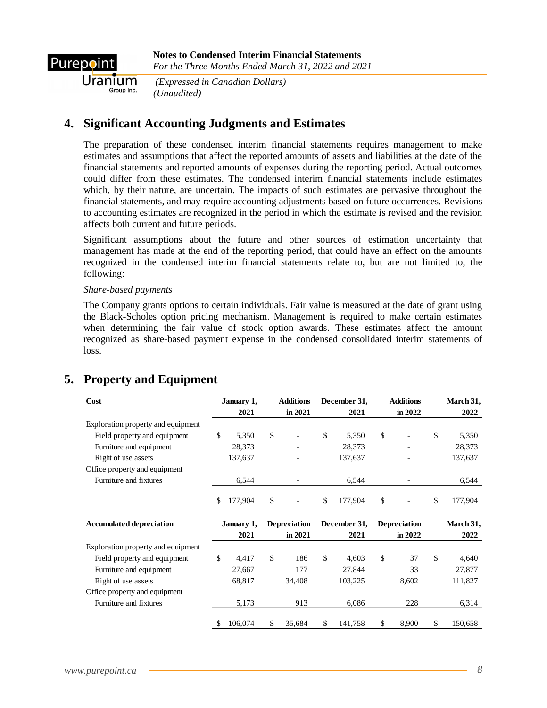

Uranium

*(Expressed in Canadian Dollars) (Unaudited)*

### **4. Significant Accounting Judgments and Estimates**

The preparation of these condensed interim financial statements requires management to make estimates and assumptions that affect the reported amounts of assets and liabilities at the date of the financial statements and reported amounts of expenses during the reporting period. Actual outcomes could differ from these estimates. The condensed interim financial statements include estimates which, by their nature, are uncertain. The impacts of such estimates are pervasive throughout the financial statements, and may require accounting adjustments based on future occurrences. Revisions to accounting estimates are recognized in the period in which the estimate is revised and the revision affects both current and future periods.

Significant assumptions about the future and other sources of estimation uncertainty that management has made at the end of the reporting period, that could have an effect on the amounts recognized in the condensed interim financial statements relate to, but are not limited to, the following:

#### *Share-based payments*

The Company grants options to certain individuals. Fair value is measured at the date of grant using the Black-Scholes option pricing mechanism. Management is required to make certain estimates when determining the fair value of stock option awards. These estimates affect the amount recognized as share-based payment expense in the condensed consolidated interim statements of loss.

## **5. Property and Equipment**

| Cost                               |              | January 1, | <b>Additions</b>    | December 31,  | <b>Additions</b>    | March 31,     |
|------------------------------------|--------------|------------|---------------------|---------------|---------------------|---------------|
|                                    |              | 2021       | in 2021             | 2021          | in 2022             | 2022          |
| Exploration property and equipment |              |            |                     |               |                     |               |
| Field property and equipment       | $\mathbb{S}$ | 5,350      | \$                  | \$<br>5,350   | \$                  | \$<br>5,350   |
| Furniture and equipment            |              | 28,373     |                     | 28,373        |                     | 28,373        |
| Right of use assets                |              | 137,637    |                     | 137,637       |                     | 137,637       |
| Office property and equipment      |              |            |                     |               |                     |               |
| Furniture and fixtures             |              | 6,544      |                     | 6,544         |                     | 6,544         |
|                                    | \$           | 177,904    | \$                  | \$<br>177,904 | \$                  | \$<br>177,904 |
|                                    |              |            |                     |               |                     |               |
| <b>Accumulated depreciation</b>    |              | January 1, | <b>Depreciation</b> | December 31.  | <b>Depreciation</b> | March 31,     |
|                                    |              | 2021       | in 2021             | 2021          | in 2022             | 2022          |
| Exploration property and equipment |              |            |                     |               |                     |               |
| Field property and equipment       | \$           | 4,417      | \$<br>186           | \$<br>4,603   | \$<br>37            | \$<br>4,640   |
| Furniture and equipment            |              | 27,667     | 177                 | 27,844        | 33                  | 27,877        |
| Right of use assets                |              | 68,817     | 34,408              | 103,225       | 8,602               | 111,827       |
| Office property and equipment      |              |            |                     |               |                     |               |
| Furniture and fixtures             |              | 5,173      | 913                 | 6,086         | 228                 | 6,314         |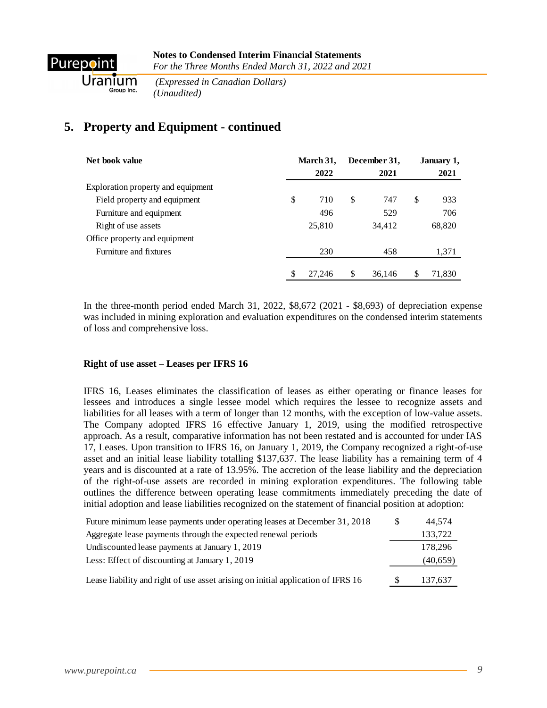

*(Expressed in Canadian Dollars) (Unaudited)*

# **5. Property and Equipment - continued**

| Net book value                     | March 31, |    | December 31, |    | January 1, |  |
|------------------------------------|-----------|----|--------------|----|------------|--|
|                                    | 2022      |    | 2021         |    | 2021       |  |
| Exploration property and equipment |           |    |              |    |            |  |
| Field property and equipment       | \$<br>710 | \$ | 747          | \$ | 933        |  |
| Furniture and equipment            | 496       |    | 529          |    | 706        |  |
| Right of use assets                | 25,810    |    | 34,412       |    | 68,820     |  |
| Office property and equipment      |           |    |              |    |            |  |
| Furniture and fixtures             | 230       |    | 458          |    | 1,371      |  |
|                                    | 27.246    |    | 36.146       | S  | 71.830     |  |

In the three-month period ended March 31, 2022, \$8,672 (2021 - \$8,693) of depreciation expense was included in mining exploration and evaluation expenditures on the condensed interim statements of loss and comprehensive loss.

### **Right of use asset – Leases per IFRS 16**

IFRS 16, Leases eliminates the classification of leases as either operating or finance leases for lessees and introduces a single lessee model which requires the lessee to recognize assets and liabilities for all leases with a term of longer than 12 months, with the exception of low-value assets. The Company adopted IFRS 16 effective January 1, 2019, using the modified retrospective approach. As a result, comparative information has not been restated and is accounted for under IAS 17, Leases. Upon transition to IFRS 16, on January 1, 2019, the Company recognized a right-of-use asset and an initial lease liability totalling \$137,637. The lease liability has a remaining term of 4 years and is discounted at a rate of 13.95%. The accretion of the lease liability and the depreciation of the right-of-use assets are recorded in mining exploration expenditures. The following table outlines the difference between operating lease commitments immediately preceding the date of initial adoption and lease liabilities recognized on the statement of financial position at adoption:

| Future minimum lease payments under operating leases at December 31, 2018        | -SS | 44.574   |
|----------------------------------------------------------------------------------|-----|----------|
| Aggregate lease payments through the expected renewal periods                    |     | 133,722  |
| Undiscounted lease payments at January 1, 2019                                   |     | 178.296  |
| Less: Effect of discounting at January 1, 2019                                   |     | (40,659) |
| Lease liability and right of use asset arising on initial application of IFRS 16 |     | 137,637  |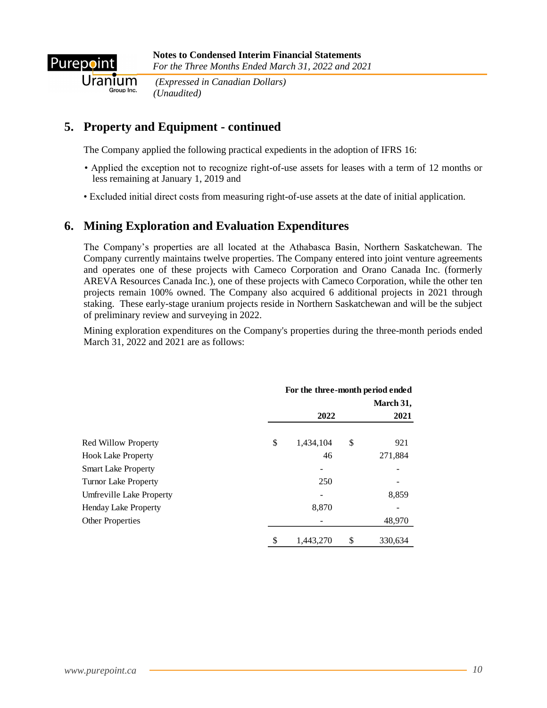

Uranium

*(Expressed in Canadian Dollars) (Unaudited)*

# **5. Property and Equipment - continued**

The Company applied the following practical expedients in the adoption of IFRS 16:

- Applied the exception not to recognize right-of-use assets for leases with a term of 12 months or less remaining at January 1, 2019 and
- Excluded initial direct costs from measuring right-of-use assets at the date of initial application.

## **6. Mining Exploration and Evaluation Expenditures**

The Company's properties are all located at the Athabasca Basin, Northern Saskatchewan. The Company currently maintains twelve properties. The Company entered into joint venture agreements and operates one of these projects with Cameco Corporation and Orano Canada Inc. (formerly AREVA Resources Canada Inc.), one of these projects with Cameco Corporation, while the other ten projects remain 100% owned. The Company also acquired 6 additional projects in 2021 through staking. These early-stage uranium projects reside in Northern Saskatchewan and will be the subject of preliminary review and surveying in 2022.

Mining exploration expenditures on the Company's properties during the three-month periods ended March 31, 2022 and 2021 are as follows:

|                             | For the three-month period ended<br>March 31, |           |    |         |
|-----------------------------|-----------------------------------------------|-----------|----|---------|
|                             |                                               | 2022      |    | 2021    |
| Red Willow Property         | \$                                            | 1,434,104 | \$ | 921     |
| <b>Hook Lake Property</b>   |                                               | 46        |    | 271,884 |
| <b>Smart Lake Property</b>  |                                               | ۰         |    |         |
| <b>Turnor Lake Property</b> |                                               | 250       |    |         |
| Umfreville Lake Property    |                                               |           |    | 8,859   |
| <b>Henday Lake Property</b> |                                               | 8,870     |    |         |
| <b>Other Properties</b>     |                                               |           |    | 48,970  |
|                             | \$                                            | 1.443.270 | \$ | 330,634 |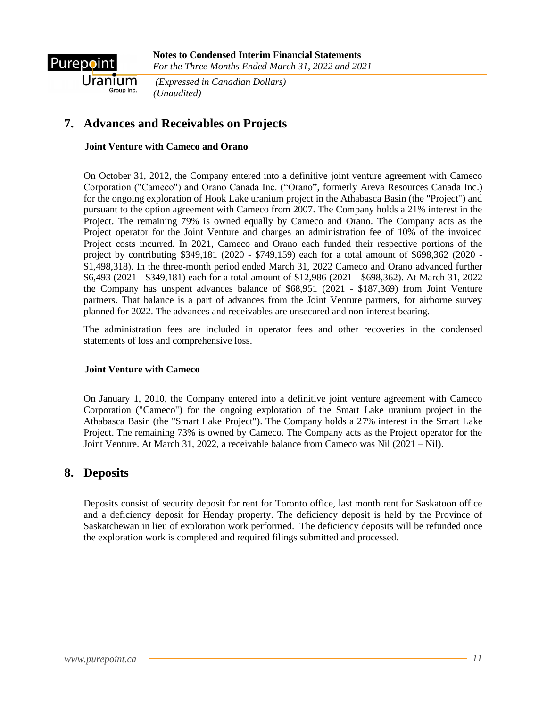

Uranium

*(Expressed in Canadian Dollars) (Unaudited)*

# **7. Advances and Receivables on Projects**

#### **Joint Venture with Cameco and Orano**

On October 31, 2012, the Company entered into a definitive joint venture agreement with Cameco Corporation ("Cameco") and Orano Canada Inc. ("Orano", formerly Areva Resources Canada Inc.) for the ongoing exploration of Hook Lake uranium project in the Athabasca Basin (the "Project") and pursuant to the option agreement with Cameco from 2007. The Company holds a 21% interest in the Project. The remaining 79% is owned equally by Cameco and Orano. The Company acts as the Project operator for the Joint Venture and charges an administration fee of 10% of the invoiced Project costs incurred. In 2021, Cameco and Orano each funded their respective portions of the project by contributing \$349,181 (2020 - \$749,159) each for a total amount of \$698,362 (2020 - \$1,498,318). In the three-month period ended March 31, 2022 Cameco and Orano advanced further \$6,493 (2021 - \$349,181) each for a total amount of \$12,986 (2021 - \$698,362). At March 31, 2022 the Company has unspent advances balance of \$68,951 (2021 - \$187,369) from Joint Venture partners. That balance is a part of advances from the Joint Venture partners, for airborne survey planned for 2022. The advances and receivables are unsecured and non-interest bearing.

The administration fees are included in operator fees and other recoveries in the condensed statements of loss and comprehensive loss.

#### **Joint Venture with Cameco**

On January 1, 2010, the Company entered into a definitive joint venture agreement with Cameco Corporation ("Cameco") for the ongoing exploration of the Smart Lake uranium project in the Athabasca Basin (the "Smart Lake Project"). The Company holds a 27% interest in the Smart Lake Project. The remaining 73% is owned by Cameco. The Company acts as the Project operator for the Joint Venture. At March 31, 2022, a receivable balance from Cameco was Nil (2021 – Nil).

### **8. Deposits**

Deposits consist of security deposit for rent for Toronto office, last month rent for Saskatoon office and a deficiency deposit for Henday property. The deficiency deposit is held by the Province of Saskatchewan in lieu of exploration work performed. The deficiency deposits will be refunded once the exploration work is completed and required filings submitted and processed.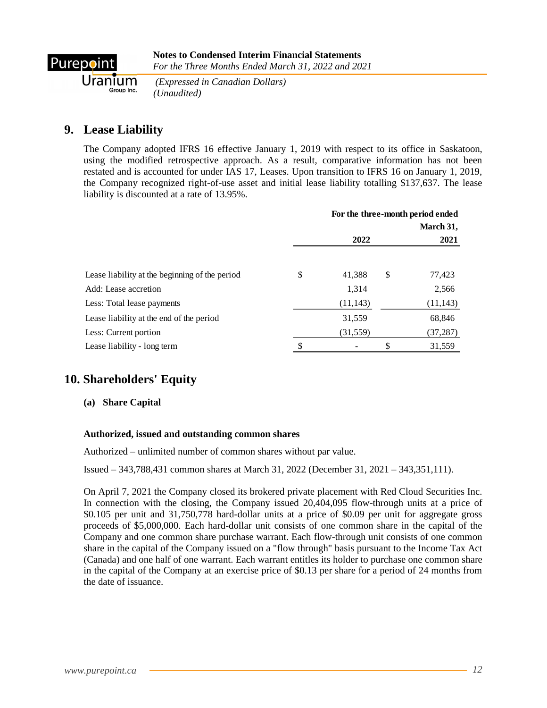

*(Expressed in Canadian Dollars) (Unaudited)*

## **9. Lease Liability**

The Company adopted IFRS 16 effective January 1, 2019 with respect to its office in Saskatoon, using the modified retrospective approach. As a result, comparative information has not been restated and is accounted for under IAS 17, Leases. Upon transition to IFRS 16 on January 1, 2019, the Company recognized right-of-use asset and initial lease liability totalling \$137,637. The lease liability is discounted at a rate of 13.95%.

|                                                | For the three-month period ended<br>March 31, |           |    |           |
|------------------------------------------------|-----------------------------------------------|-----------|----|-----------|
|                                                |                                               | 2022      |    | 2021      |
| Lease liability at the beginning of the period | \$                                            | 41.388    | \$ | 77,423    |
| Add: Lease accretion                           |                                               | 1,314     |    | 2,566     |
| Less: Total lease payments                     |                                               | (11, 143) |    | (11, 143) |
| Lease liability at the end of the period       |                                               | 31,559    |    | 68,846    |
| Less: Current portion                          |                                               | (31, 559) |    | (37, 287) |
| Lease liability - long term                    |                                               |           | \$ | 31,559    |

## **10. Shareholders' Equity**

**(a) Share Capital**

#### **Authorized, issued and outstanding common shares**

Authorized – unlimited number of common shares without par value.

Issued – 343,788,431 common shares at March 31, 2022 (December 31, 2021 – 343,351,111).

On April 7, 2021 the Company closed its brokered private placement with Red Cloud Securities Inc. In connection with the closing, the Company issued 20,404,095 flow-through units at a price of \$0.105 per unit and 31,750,778 hard-dollar units at a price of \$0.09 per unit for aggregate gross proceeds of \$5,000,000. Each hard-dollar unit consists of one common share in the capital of the Company and one common share purchase warrant. Each flow-through unit consists of one common share in the capital of the Company issued on a "flow through" basis pursuant to the Income Tax Act (Canada) and one half of one warrant. Each warrant entitles its holder to purchase one common share in the capital of the Company at an exercise price of \$0.13 per share for a period of 24 months from the date of issuance.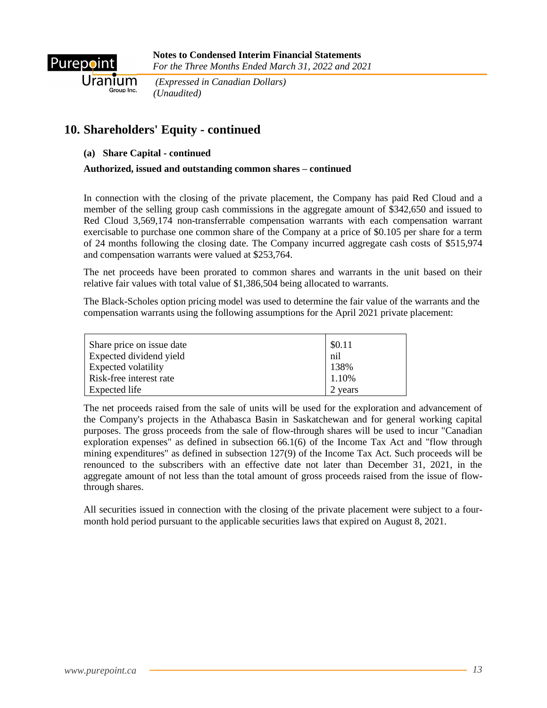

*(Expressed in Canadian Dollars) (Unaudited)*

### **10. Shareholders' Equity - continued**

#### **(a) Share Capital - continued**

#### **Authorized, issued and outstanding common shares – continued**

In connection with the closing of the private placement, the Company has paid Red Cloud and a member of the selling group cash commissions in the aggregate amount of \$342,650 and issued to Red Cloud 3,569,174 non-transferrable compensation warrants with each compensation warrant exercisable to purchase one common share of the Company at a price of \$0.105 per share for a term of 24 months following the closing date. The Company incurred aggregate cash costs of \$515,974 and compensation warrants were valued at \$253,764.

The net proceeds have been prorated to common shares and warrants in the unit based on their relative fair values with total value of \$1,386,504 being allocated to warrants.

The Black-Scholes option pricing model was used to determine the fair value of the warrants and the compensation warrants using the following assumptions for the April 2021 private placement:

| Share price on issue date | \$0.11 |
|---------------------------|--------|
| Expected dividend yield   | nil    |
| Expected volatility       | 138%   |
| Risk-free interest rate   | 1.10%  |
| Expected life             | years  |

The net proceeds raised from the sale of units will be used for the exploration and advancement of the Company's projects in the Athabasca Basin in Saskatchewan and for general working capital purposes. The gross proceeds from the sale of flow-through shares will be used to incur "Canadian exploration expenses" as defined in subsection 66.1(6) of the Income Tax Act and "flow through mining expenditures" as defined in subsection 127(9) of the Income Tax Act. Such proceeds will be renounced to the subscribers with an effective date not later than December 31, 2021, in the aggregate amount of not less than the total amount of gross proceeds raised from the issue of flowthrough shares.

All securities issued in connection with the closing of the private placement were subject to a fourmonth hold period pursuant to the applicable securities laws that expired on August 8, 2021.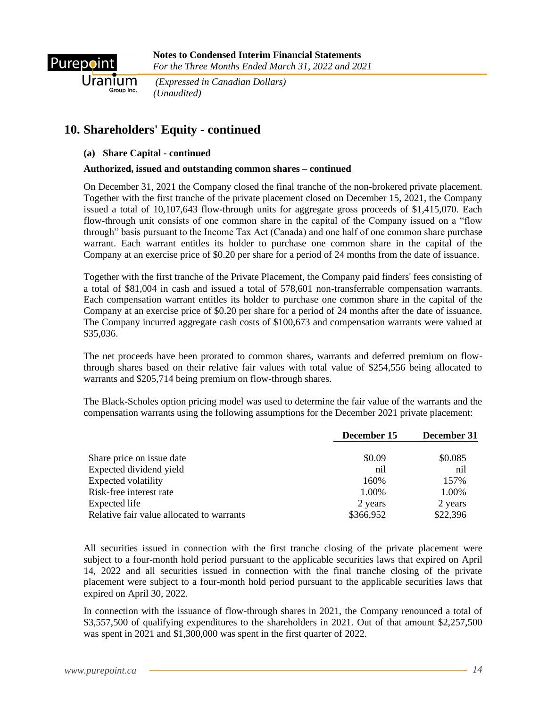

*(Expressed in Canadian Dollars) (Unaudited)*

## **10. Shareholders' Equity - continued**

### **(a) Share Capital - continued**

### **Authorized, issued and outstanding common shares – continued**

On December 31, 2021 the Company closed the final tranche of the non-brokered private placement. Together with the first tranche of the private placement closed on December 15, 2021, the Company issued a total of 10,107,643 flow-through units for aggregate gross proceeds of \$1,415,070. Each flow-through unit consists of one common share in the capital of the Company issued on a "flow through" basis pursuant to the Income Tax Act (Canada) and one half of one common share purchase warrant. Each warrant entitles its holder to purchase one common share in the capital of the Company at an exercise price of \$0.20 per share for a period of 24 months from the date of issuance.

Together with the first tranche of the Private Placement, the Company paid finders' fees consisting of a total of \$81,004 in cash and issued a total of 578,601 non-transferrable compensation warrants. Each compensation warrant entitles its holder to purchase one common share in the capital of the Company at an exercise price of \$0.20 per share for a period of 24 months after the date of issuance. The Company incurred aggregate cash costs of \$100,673 and compensation warrants were valued at \$35,036.

The net proceeds have been prorated to common shares, warrants and deferred premium on flowthrough shares based on their relative fair values with total value of \$254,556 being allocated to warrants and \$205,714 being premium on flow-through shares.

The Black-Scholes option pricing model was used to determine the fair value of the warrants and the compensation warrants using the following assumptions for the December 2021 private placement:

|                                           | December 15 | December 31 |
|-------------------------------------------|-------------|-------------|
| Share price on issue date                 | \$0.09      | \$0.085     |
| Expected dividend yield                   | nil         | nil         |
| <b>Expected volatility</b>                | 160%        | 157%        |
| Risk-free interest rate                   | 1.00%       | 1.00%       |
| Expected life                             | 2 years     | 2 years     |
| Relative fair value allocated to warrants | \$366,952   | \$22,396    |

All securities issued in connection with the first tranche closing of the private placement were subject to a four-month hold period pursuant to the applicable securities laws that expired on April 14, 2022 and all securities issued in connection with the final tranche closing of the private placement were subject to a four-month hold period pursuant to the applicable securities laws that expired on April 30, 2022.

In connection with the issuance of flow-through shares in 2021, the Company renounced a total of \$3,557,500 of qualifying expenditures to the shareholders in 2021. Out of that amount \$2,257,500 was spent in 2021 and \$1,300,000 was spent in the first quarter of 2022.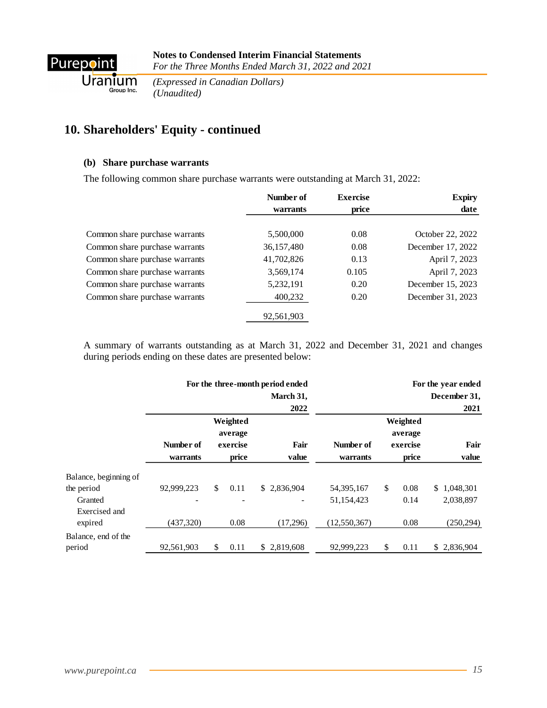

Uranium  *(Unaudited)*

*(Expressed in Canadian Dollars)*

# **10. Shareholders' Equity - continued**

#### **(b) Share purchase warrants**

The following common share purchase warrants were outstanding at March 31, 2022:

|                                | Number of  | <b>Exercise</b> | <b>Expiry</b>     |
|--------------------------------|------------|-----------------|-------------------|
|                                | warrants   | price           | date              |
|                                |            |                 |                   |
| Common share purchase warrants | 5,500,000  | 0.08            | October 22, 2022  |
| Common share purchase warrants | 36,157,480 | 0.08            | December 17, 2022 |
| Common share purchase warrants | 41,702,826 | 0.13            | April 7, 2023     |
| Common share purchase warrants | 3,569,174  | 0.105           | April 7, 2023     |
| Common share purchase warrants | 5,232,191  | 0.20            | December 15, 2023 |
| Common share purchase warrants | 400,232    | 0.20            | December 31, 2023 |
|                                | 92,561,903 |                 |                   |

A summary of warrants outstanding as at March 31, 2022 and December 31, 2021 and changes during periods ending on these dates are presented below:

|            |           | March 31,                                                        |                                          |           |       |                                 | For the year ended<br>December 31, |
|------------|-----------|------------------------------------------------------------------|------------------------------------------|-----------|-------|---------------------------------|------------------------------------|
|            |           | 2022                                                             |                                          |           |       |                                 | 2021                               |
|            |           |                                                                  |                                          |           |       |                                 | Fair                               |
| warrants   |           | value                                                            | warrants                                 |           | price |                                 | value                              |
|            |           |                                                                  |                                          |           |       |                                 |                                    |
| 92,999,223 | \$        | \$2,836,904                                                      | 54, 395, 167                             | \$        | 0.08  |                                 | \$1,048,301                        |
|            |           |                                                                  | 51,154,423                               |           | 0.14  |                                 | 2,038,897                          |
| (437,320)  |           | (17,296)                                                         | (12,550,367)                             |           | 0.08  |                                 | (250, 294)                         |
| 92,561,903 | \$        | \$2,819,608                                                      | 92,999,223                               | \$        | 0.11  |                                 | \$2,836,904                        |
|            | Number of | Weighted<br>average<br>exercise<br>price<br>0.11<br>0.08<br>0.11 | For the three-month period ended<br>Fair | Number of |       | Weighted<br>average<br>exercise |                                    |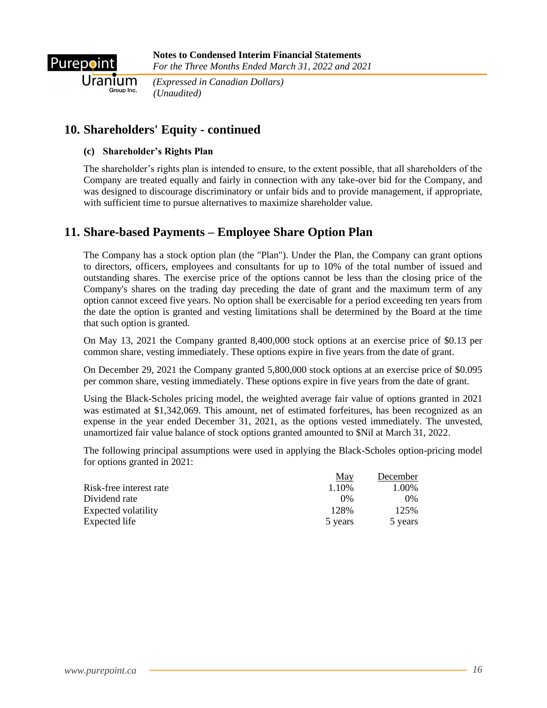

Uranium

*(Expressed in Canadian Dollars) (Unaudited)*

### **10. Shareholders' Equity - continued**

#### **(c) Shareholder's Rights Plan**

The shareholder's rights plan is intended to ensure, to the extent possible, that all shareholders of the Company are treated equally and fairly in connection with any take-over bid for the Company, and was designed to discourage discriminatory or unfair bids and to provide management, if appropriate, with sufficient time to pursue alternatives to maximize shareholder value.

## **11. Share-based Payments – Employee Share Option Plan**

The Company has a stock option plan (the "Plan"). Under the Plan, the Company can grant options to directors, officers, employees and consultants for up to 10% of the total number of issued and outstanding shares. The exercise price of the options cannot be less than the closing price of the Company's shares on the trading day preceding the date of grant and the maximum term of any option cannot exceed five years. No option shall be exercisable for a period exceeding ten years from the date the option is granted and vesting limitations shall be determined by the Board at the time that such option is granted.

On May 13, 2021 the Company granted 8,400,000 stock options at an exercise price of \$0.13 per common share, vesting immediately. These options expire in five years from the date of grant.

On December 29, 2021 the Company granted 5,800,000 stock options at an exercise price of \$0.095 per common share, vesting immediately. These options expire in five years from the date of grant.

Using the Black-Scholes pricing model, the weighted average fair value of options granted in 2021 was estimated at \$1,342,069. This amount, net of estimated forfeitures, has been recognized as an expense in the year ended December 31, 2021, as the options vested immediately. The unvested, unamortized fair value balance of stock options granted amounted to \$Nil at March 31, 2022.

The following principal assumptions were used in applying the Black-Scholes option-pricing model for options granted in 2021:

|                         | <u>May</u> | December |
|-------------------------|------------|----------|
| Risk-free interest rate | 1.10%      | 1.00%    |
| Dividend rate           | $0\%$      | 0%       |
| Expected volatility     | 128%       | 125%     |
| Expected life           | 5 years    | 5 years  |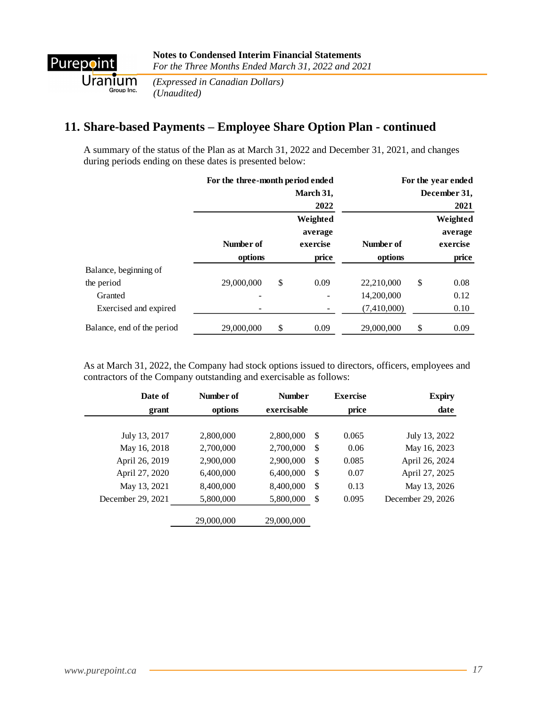

*(Expressed in Canadian Dollars) (Unaudited)*

## **11. Share-based Payments – Employee Share Option Plan - continued**

A summary of the status of the Plan as at March 31, 2022 and December 31, 2021, and changes during periods ending on these dates is presented below:

|                            | For the three-month period ended |    |                     | For the year ended |    |                     |  |
|----------------------------|----------------------------------|----|---------------------|--------------------|----|---------------------|--|
|                            |                                  |    | March 31,           |                    |    | December 31,        |  |
|                            |                                  |    | 2022                |                    |    | 2021                |  |
|                            |                                  |    | Weighted<br>average |                    |    | Weighted<br>average |  |
|                            | Number of                        |    | exercise            | Number of          |    | exercise            |  |
|                            | options                          |    | price               | options            |    | price               |  |
| Balance, beginning of      |                                  |    |                     |                    |    |                     |  |
| the period                 | 29,000,000                       | \$ | 0.09                | 22,210,000         | \$ | 0.08                |  |
| Granted                    |                                  |    |                     | 14,200,000         |    | 0.12                |  |
| Exercised and expired      |                                  |    |                     | (7,410,000)        |    | 0.10                |  |
| Balance, end of the period | 29,000,000                       | \$ | 0.09                | 29,000,000         | \$ | 0.09                |  |

As at March 31, 2022, the Company had stock options issued to directors, officers, employees and contractors of the Company outstanding and exercisable as follows:

| Date of           | Number of  | <b>Number</b> |                           | <b>Exercise</b> | <b>Expiry</b>     |
|-------------------|------------|---------------|---------------------------|-----------------|-------------------|
| grant             | options    | exercisable   |                           | price           | date              |
|                   |            |               |                           |                 |                   |
| July 13, 2017     | 2,800,000  | 2,800,000     | $\mathcal{S}$             | 0.065           | July 13, 2022     |
| May 16, 2018      | 2,700,000  | 2,700,000     | <sup>\$</sup>             | 0.06            | May 16, 2023      |
| April 26, 2019    | 2,900,000  | 2,900,000     | \$                        | 0.085           | April 26, 2024    |
| April 27, 2020    | 6,400,000  | 6,400,000     | \$                        | 0.07            | April 27, 2025    |
| May 13, 2021      | 8,400,000  | 8,400,000     | \$                        | 0.13            | May 13, 2026      |
| December 29, 2021 | 5,800,000  | 5,800,000     | $\boldsymbol{\mathsf{S}}$ | 0.095           | December 29, 2026 |
|                   | 29,000,000 | 29,000,000    |                           |                 |                   |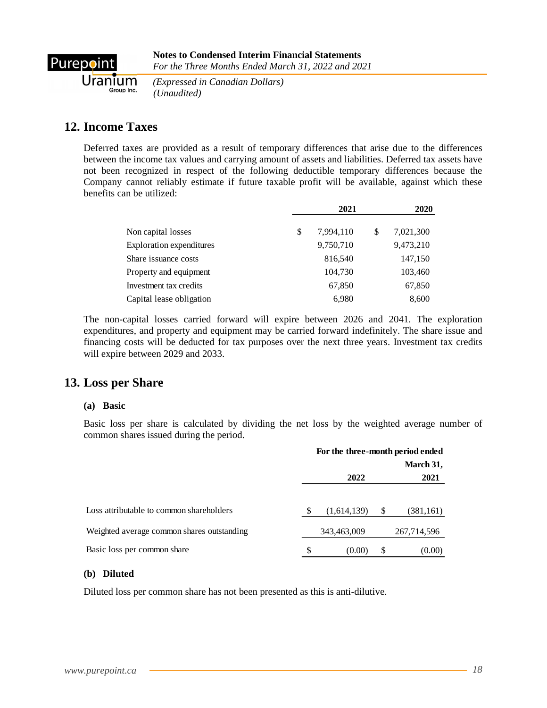

*(Expressed in Canadian Dollars) aroup Inc. (Unaudited)* 

## **12. Income Taxes**

Deferred taxes are provided as a result of temporary differences that arise due to the differences between the income tax values and carrying amount of assets and liabilities. Deferred tax assets have not been recognized in respect of the following deductible temporary differences because the Company cannot reliably estimate if future taxable profit will be available, against which these benefits can be utilized:

|                          | 2021 |           |   | 2020      |  |  |
|--------------------------|------|-----------|---|-----------|--|--|
| Non capital losses       | \$   | 7.994.110 | S | 7,021,300 |  |  |
| Exploration expenditures |      | 9,750,710 |   | 9,473,210 |  |  |
| Share issuance costs     |      | 816,540   |   | 147,150   |  |  |
| Property and equipment   |      | 104,730   |   | 103,460   |  |  |
| Investment tax credits   |      | 67,850    |   | 67,850    |  |  |
| Capital lease obligation |      | 6,980     |   | 8,600     |  |  |

The non-capital losses carried forward will expire between 2026 and 2041. The exploration expenditures, and property and equipment may be carried forward indefinitely. The share issue and financing costs will be deducted for tax purposes over the next three years. Investment tax credits will expire between 2029 and 2033.

### **13. Loss per Share**

#### **(a) Basic**

Basic loss per share is calculated by dividing the net loss by the weighted average number of common shares issued during the period.

|                                            | For the three-month period ended |             |    |             |
|--------------------------------------------|----------------------------------|-------------|----|-------------|
|                                            | 2022<br>2021                     |             |    | March 31,   |
|                                            |                                  |             |    |             |
| Loss attributable to common shareholders   | S                                | (1,614,139) | \$ | (381, 161)  |
| Weighted average common shares outstanding |                                  | 343,463,009 |    | 267,714,596 |
| Basic loss per common share                | \$                               | (0.00)      | S  | (0.00)      |

#### **(b) Diluted**

Diluted loss per common share has not been presented as this is anti-dilutive.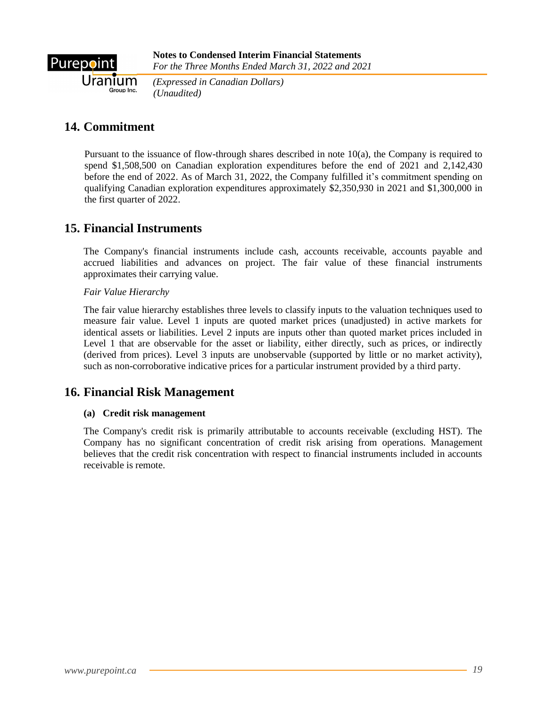

*(Expressed in Canadian Dollars) (Unaudited)*

# **14. Commitment**

Pursuant to the issuance of flow-through shares described in note 10(a), the Company is required to spend \$1,508,500 on Canadian exploration expenditures before the end of 2021 and 2,142,430 before the end of 2022. As of March 31, 2022, the Company fulfilled it's commitment spending on qualifying Canadian exploration expenditures approximately \$2,350,930 in 2021 and \$1,300,000 in the first quarter of 2022.

## **15. Financial Instruments**

The Company's financial instruments include cash, accounts receivable, accounts payable and accrued liabilities and advances on project. The fair value of these financial instruments approximates their carrying value.

*Fair Value Hierarchy*

The fair value hierarchy establishes three levels to classify inputs to the valuation techniques used to measure fair value. Level 1 inputs are quoted market prices (unadjusted) in active markets for identical assets or liabilities. Level 2 inputs are inputs other than quoted market prices included in Level 1 that are observable for the asset or liability, either directly, such as prices, or indirectly (derived from prices). Level 3 inputs are unobservable (supported by little or no market activity), such as non-corroborative indicative prices for a particular instrument provided by a third party.

## **16. Financial Risk Management**

### **(a) Credit risk management**

The Company's credit risk is primarily attributable to accounts receivable (excluding HST). The Company has no significant concentration of credit risk arising from operations. Management believes that the credit risk concentration with respect to financial instruments included in accounts receivable is remote.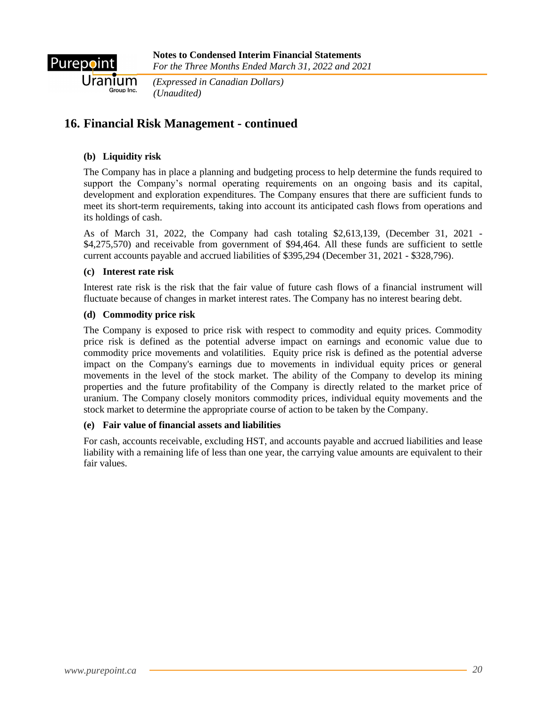

*(Expressed in Canadian Dollars) (Unaudited)*

## **16. Financial Risk Management - continued**

### **(b) Liquidity risk**

The Company has in place a planning and budgeting process to help determine the funds required to support the Company's normal operating requirements on an ongoing basis and its capital, development and exploration expenditures. The Company ensures that there are sufficient funds to meet its short-term requirements, taking into account its anticipated cash flows from operations and its holdings of cash.

As of March 31, 2022, the Company had cash totaling \$2,613,139, (December 31, 2021 - \$4,275,570) and receivable from government of \$94,464. All these funds are sufficient to settle current accounts payable and accrued liabilities of \$395,294 (December 31, 2021 - \$328,796).

#### **(c) Interest rate risk**

Interest rate risk is the risk that the fair value of future cash flows of a financial instrument will fluctuate because of changes in market interest rates. The Company has no interest bearing debt.

#### **(d) Commodity price risk**

The Company is exposed to price risk with respect to commodity and equity prices. Commodity price risk is defined as the potential adverse impact on earnings and economic value due to commodity price movements and volatilities. Equity price risk is defined as the potential adverse impact on the Company's earnings due to movements in individual equity prices or general movements in the level of the stock market. The ability of the Company to develop its mining properties and the future profitability of the Company is directly related to the market price of uranium. The Company closely monitors commodity prices, individual equity movements and the stock market to determine the appropriate course of action to be taken by the Company.

#### **(e) Fair value of financial assets and liabilities**

For cash, accounts receivable, excluding HST, and accounts payable and accrued liabilities and lease liability with a remaining life of less than one year, the carrying value amounts are equivalent to their fair values.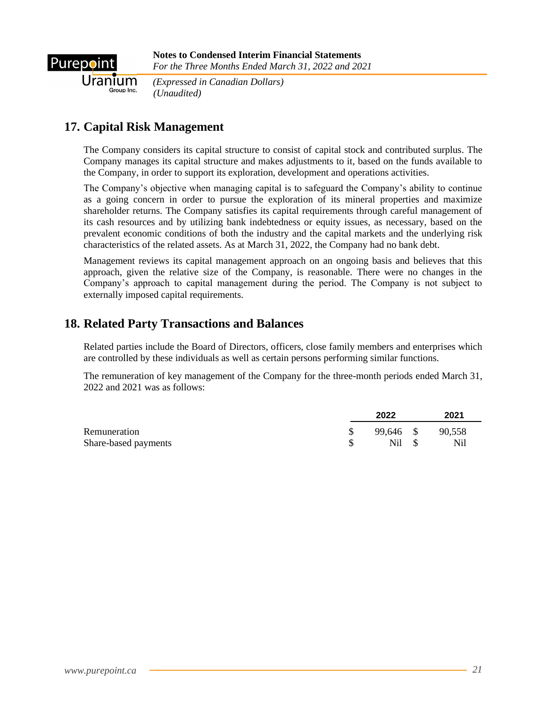

Uranium *(Expressed in Canadian Dollars) (Unaudited)*

# **17. Capital Risk Management**

The Company considers its capital structure to consist of capital stock and contributed surplus. The Company manages its capital structure and makes adjustments to it, based on the funds available to the Company, in order to support its exploration, development and operations activities.

The Company's objective when managing capital is to safeguard the Company's ability to continue as a going concern in order to pursue the exploration of its mineral properties and maximize shareholder returns. The Company satisfies its capital requirements through careful management of its cash resources and by utilizing bank indebtedness or equity issues, as necessary, based on the prevalent economic conditions of both the industry and the capital markets and the underlying risk characteristics of the related assets. As at March 31, 2022, the Company had no bank debt.

Management reviews its capital management approach on an ongoing basis and believes that this approach, given the relative size of the Company, is reasonable. There were no changes in the Company's approach to capital management during the period. The Company is not subject to externally imposed capital requirements.

## **18. Related Party Transactions and Balances**

Related parties include the Board of Directors, officers, close family members and enterprises which are controlled by these individuals as well as certain persons performing similar functions.

The remuneration of key management of the Company for the three-month periods ended March 31, 2022 and 2021 was as follows:

|                      | 2022      | 2021   |
|----------------------|-----------|--------|
| Remuneration         | 99,646 \$ | 90,558 |
| Share-based payments | Nil \$    | Nil    |